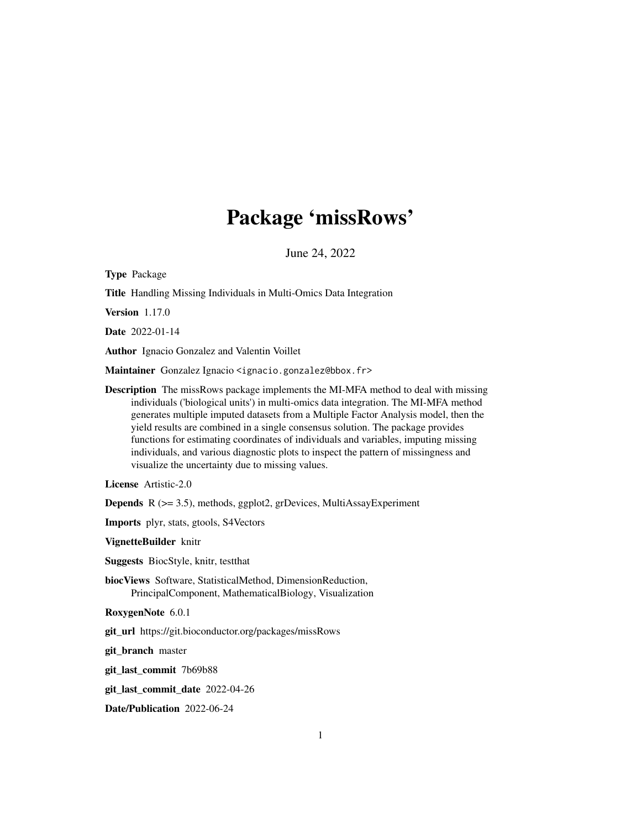# Package 'missRows'

June 24, 2022

<span id="page-0-0"></span>

| Type Package                                                                                                                                                                                                                                                                                                                                                                                                                                                                                                                                                                                 |
|----------------------------------------------------------------------------------------------------------------------------------------------------------------------------------------------------------------------------------------------------------------------------------------------------------------------------------------------------------------------------------------------------------------------------------------------------------------------------------------------------------------------------------------------------------------------------------------------|
| Title Handling Missing Individuals in Multi-Omics Data Integration                                                                                                                                                                                                                                                                                                                                                                                                                                                                                                                           |
| <b>Version</b> 1.17.0                                                                                                                                                                                                                                                                                                                                                                                                                                                                                                                                                                        |
| Date 2022-01-14                                                                                                                                                                                                                                                                                                                                                                                                                                                                                                                                                                              |
| Author Ignacio Gonzalez and Valentin Voillet                                                                                                                                                                                                                                                                                                                                                                                                                                                                                                                                                 |
| Maintainer Gonzalez Ignacio <ignacio.gonzalez@bbox.fr></ignacio.gonzalez@bbox.fr>                                                                                                                                                                                                                                                                                                                                                                                                                                                                                                            |
| <b>Description</b> The missRows package implements the MI-MFA method to deal with missing<br>individuals ('biological units') in multi-omics data integration. The MI-MFA method<br>generates multiple imputed datasets from a Multiple Factor Analysis model, then the<br>yield results are combined in a single consensus solution. The package provides<br>functions for estimating coordinates of individuals and variables, imputing missing<br>individuals, and various diagnostic plots to inspect the pattern of missingness and<br>visualize the uncertainty due to missing values. |
| License Artistic-2.0                                                                                                                                                                                                                                                                                                                                                                                                                                                                                                                                                                         |
| <b>Depends</b> $R$ ( $>= 3.5$ ), methods, ggplot2, grDevices, MultiAssayExperiment                                                                                                                                                                                                                                                                                                                                                                                                                                                                                                           |
| Imports plyr, stats, gtools, S4Vectors                                                                                                                                                                                                                                                                                                                                                                                                                                                                                                                                                       |
| VignetteBuilder knitr                                                                                                                                                                                                                                                                                                                                                                                                                                                                                                                                                                        |
| <b>Suggests</b> BiocStyle, knitr, testthat                                                                                                                                                                                                                                                                                                                                                                                                                                                                                                                                                   |
| biocViews Software, StatisticalMethod, DimensionReduction,<br>PrincipalComponent, MathematicalBiology, Visualization                                                                                                                                                                                                                                                                                                                                                                                                                                                                         |
| RoxygenNote 6.0.1                                                                                                                                                                                                                                                                                                                                                                                                                                                                                                                                                                            |
| git_url https://git.bioconductor.org/packages/missRows                                                                                                                                                                                                                                                                                                                                                                                                                                                                                                                                       |
| git_branch master                                                                                                                                                                                                                                                                                                                                                                                                                                                                                                                                                                            |
| git_last_commit 7b69b88                                                                                                                                                                                                                                                                                                                                                                                                                                                                                                                                                                      |
| git_last_commit_date 2022-04-26                                                                                                                                                                                                                                                                                                                                                                                                                                                                                                                                                              |
| Date/Publication 2022-06-24                                                                                                                                                                                                                                                                                                                                                                                                                                                                                                                                                                  |
|                                                                                                                                                                                                                                                                                                                                                                                                                                                                                                                                                                                              |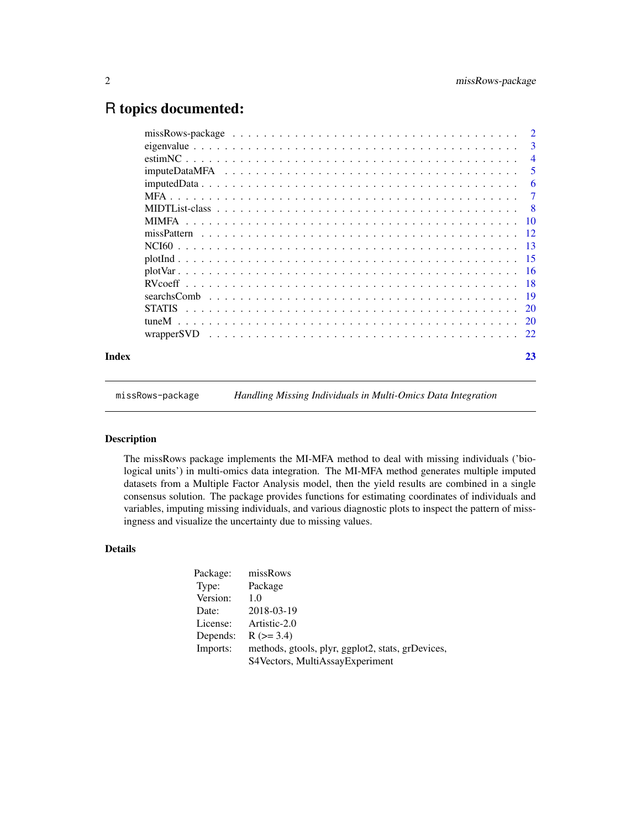# <span id="page-1-0"></span>R topics documented:

|       | -3             |
|-------|----------------|
|       | $\overline{4}$ |
|       | -5             |
|       | -6             |
|       | -7             |
|       |                |
|       |                |
|       |                |
|       |                |
|       |                |
|       |                |
|       |                |
|       |                |
|       |                |
|       |                |
|       |                |
| Index | 23             |

missRows-package *Handling Missing Individuals in Multi-Omics Data Integration*

# Description

The missRows package implements the MI-MFA method to deal with missing individuals ('biological units') in multi-omics data integration. The MI-MFA method generates multiple imputed datasets from a Multiple Factor Analysis model, then the yield results are combined in a single consensus solution. The package provides functions for estimating coordinates of individuals and variables, imputing missing individuals, and various diagnostic plots to inspect the pattern of missingness and visualize the uncertainty due to missing values.

# Details

| Package: | missRows                                          |
|----------|---------------------------------------------------|
| Type:    | Package                                           |
| Version: | 1.0                                               |
| Date:    | 2018-03-19                                        |
| License: | Artistic-2.0                                      |
| Depends: | $R (=3.4)$                                        |
| Imports: | methods, gtools, plyr, ggplot2, stats, grDevices, |
|          | S4Vectors, MultiAssayExperiment                   |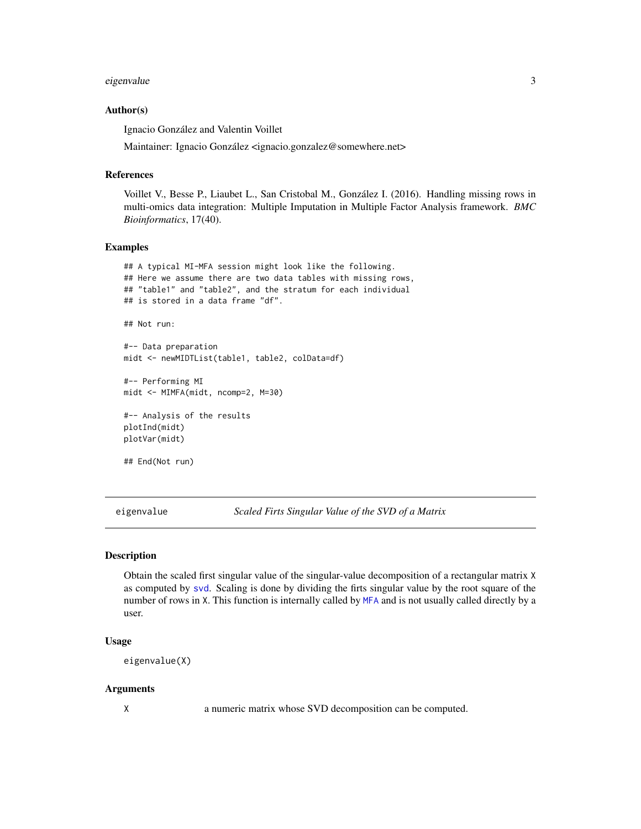#### <span id="page-2-0"></span>eigenvalue 3 and 3 and 3 and 3 and 3 and 3 and 3 and 3 and 3 and 3 and 3 and 3 and 3 and 3 and 3 and 3 and 3 and 3 and 3 and 3 and 3 and 3 and 3 and 3 and 3 and 3 and 3 and 3 and 3 and 3 and 3 and 3 and 3 and 3 and 3 and 3

#### Author(s)

Ignacio González and Valentin Voillet

Maintainer: Ignacio González <ignacio.gonzalez@somewhere.net>

#### References

Voillet V., Besse P., Liaubet L., San Cristobal M., González I. (2016). Handling missing rows in multi-omics data integration: Multiple Imputation in Multiple Factor Analysis framework. *BMC Bioinformatics*, 17(40).

#### Examples

```
## A typical MI-MFA session might look like the following.
## Here we assume there are two data tables with missing rows,
## "table1" and "table2", and the stratum for each individual
## is stored in a data frame "df".
## Not run:
```
#-- Data preparation midt <- newMIDTList(table1, table2, colData=df)

```
#-- Performing MI
midt <- MIMFA(midt, ncomp=2, M=30)
```

```
#-- Analysis of the results
plotInd(midt)
plotVar(midt)
```

```
## End(Not run)
```
eigenvalue *Scaled Firts Singular Value of the SVD of a Matrix*

#### Description

Obtain the scaled first singular value of the singular-value decomposition of a rectangular matrix X as computed by [svd](#page-0-0). Scaling is done by dividing the firts singular value by the root square of the number of rows in X. This function is internally called by [MFA](#page-6-1) and is not usually called directly by a user.

#### Usage

```
eigenvalue(X)
```
#### Arguments

X a numeric matrix whose SVD decomposition can be computed.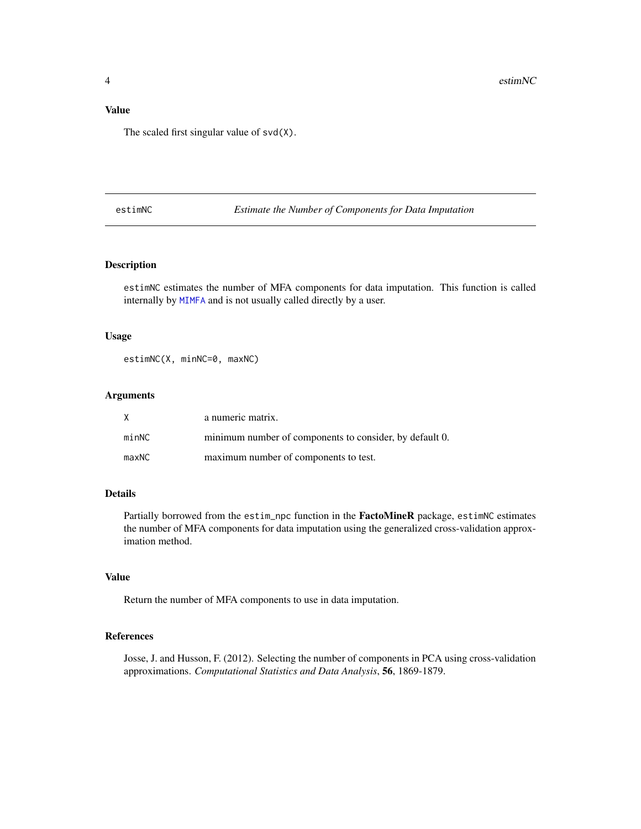# <span id="page-3-0"></span>Value

The scaled first singular value of svd(X).

estimNC *Estimate the Number of Components for Data Imputation*

# Description

estimNC estimates the number of MFA components for data imputation. This function is called internally by [MIMFA](#page-9-1) and is not usually called directly by a user.

#### Usage

estimNC(X, minNC=0, maxNC)

#### Arguments

|       | a numeric matrix.                                       |
|-------|---------------------------------------------------------|
| minNC | minimum number of components to consider, by default 0. |
| maxNC | maximum number of components to test.                   |

# Details

Partially borrowed from the estim\_npc function in the FactoMineR package, estimNC estimates the number of MFA components for data imputation using the generalized cross-validation approximation method.

# Value

Return the number of MFA components to use in data imputation.

# References

Josse, J. and Husson, F. (2012). Selecting the number of components in PCA using cross-validation approximations. *Computational Statistics and Data Analysis*, 56, 1869-1879.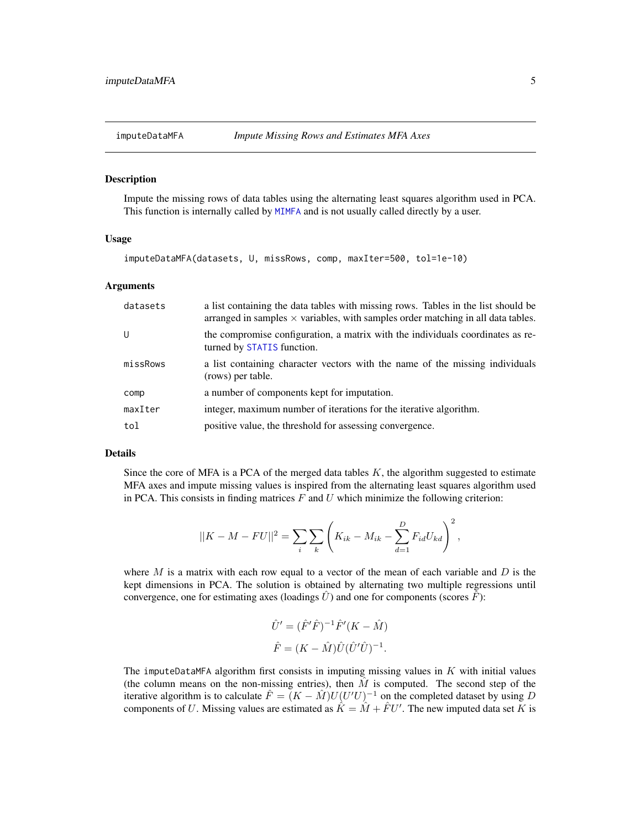<span id="page-4-1"></span><span id="page-4-0"></span>

#### Description

Impute the missing rows of data tables using the alternating least squares algorithm used in PCA. This function is internally called by [MIMFA](#page-9-1) and is not usually called directly by a user.

#### Usage

imputeDataMFA(datasets, U, missRows, comp, maxIter=500, tol=1e-10)

#### Arguments

| datasets | a list containing the data tables with missing rows. Tables in the list should be<br>arranged in samples $\times$ variables, with samples order matching in all data tables. |
|----------|------------------------------------------------------------------------------------------------------------------------------------------------------------------------------|
| U        | the compromise configuration, a matrix with the individuals coordinates as re-<br>turned by STATIS function.                                                                 |
| missRows | a list containing character vectors with the name of the missing individuals<br>(rows) per table.                                                                            |
| comp     | a number of components kept for imputation.                                                                                                                                  |
| maxIter  | integer, maximum number of iterations for the iterative algorithm.                                                                                                           |
| tol      | positive value, the threshold for assessing convergence.                                                                                                                     |

#### Details

Since the core of MFA is a PCA of the merged data tables  $K$ , the algorithm suggested to estimate MFA axes and impute missing values is inspired from the alternating least squares algorithm used in PCA. This consists in finding matrices  $F$  and  $U$  which minimize the following criterion:

$$
||K - M - FU||^{2} = \sum_{i} \sum_{k} \left( K_{ik} - M_{ik} - \sum_{d=1}^{D} F_{id} U_{kd} \right)^{2},
$$

where M is a matrix with each row equal to a vector of the mean of each variable and D is the kept dimensions in PCA. The solution is obtained by alternating two multiple regressions until convergence, one for estimating axes (loadings  $\hat{U}$ ) and one for components (scores  $\hat{F}$ ):

$$
\hat{U}' = (\hat{F}'\hat{F})^{-1}\hat{F}'(K - \hat{M})
$$
  

$$
\hat{F} = (K - \hat{M})\hat{U}(\hat{U}'\hat{U})^{-1}.
$$

The imputeDataMFA algorithm first consists in imputing missing values in  $K$  with initial values (the column means on the non-missing entries), then  $\hat{M}$  is computed. The second step of the iterative algorithm is to calculate  $\hat{F} = (K - \hat{M})U(U'U)^{-1}$  on the completed dataset by using D components of U. Missing values are estimated as  $\hat{K} = \hat{M} + \hat{F}U'$ . The new imputed data set K is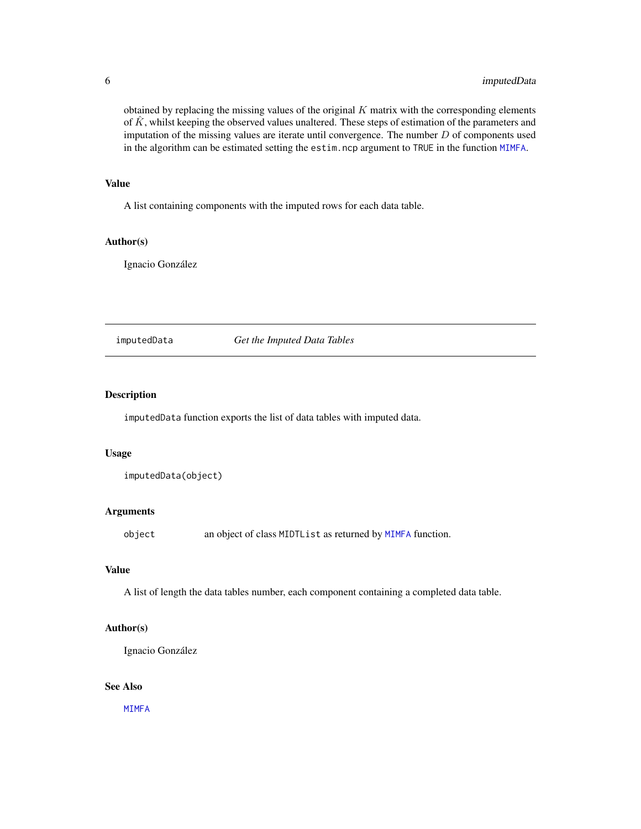<span id="page-5-0"></span>obtained by replacing the missing values of the original  $K$  matrix with the corresponding elements of  $\hat{K}$ , whilst keeping the observed values unaltered. These steps of estimation of the parameters and imputation of the missing values are iterate until convergence. The number  $D$  of components used in the algorithm can be estimated setting the estim.ncp argument to TRUE in the function [MIMFA](#page-9-1).

## Value

A list containing components with the imputed rows for each data table.

# Author(s)

Ignacio González

#### imputedData *Get the Imputed Data Tables*

### Description

imputedData function exports the list of data tables with imputed data.

#### Usage

```
imputedData(object)
```
# Arguments

object an object of class MIDTList as returned by [MIMFA](#page-9-1) function.

#### Value

A list of length the data tables number, each component containing a completed data table.

# Author(s)

Ignacio González

# See Also

[MIMFA](#page-9-1)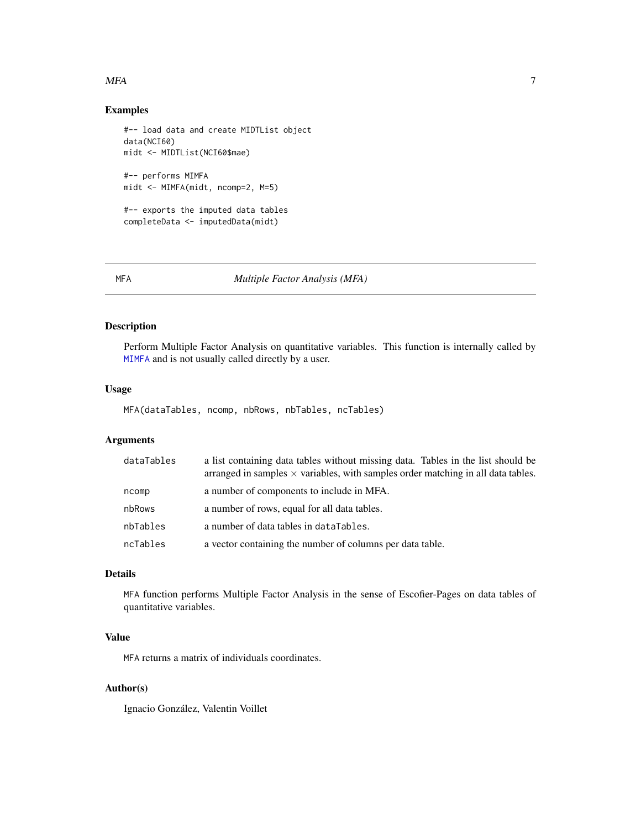#### <span id="page-6-0"></span> $MFA$  7

# Examples

```
#-- load data and create MIDTList object
data(NCI60)
midt <- MIDTList(NCI60$mae)
#-- performs MIMFA
midt <- MIMFA(midt, ncomp=2, M=5)
#-- exports the imputed data tables
completeData <- imputedData(midt)
```
#### <span id="page-6-1"></span>MFA *Multiple Factor Analysis (MFA)*

#### Description

Perform Multiple Factor Analysis on quantitative variables. This function is internally called by [MIMFA](#page-9-1) and is not usually called directly by a user.

#### Usage

MFA(dataTables, ncomp, nbRows, nbTables, ncTables)

# Arguments

| dataTables | a list containing data tables without missing data. Tables in the list should be<br>arranged in samples $\times$ variables, with samples order matching in all data tables. |
|------------|-----------------------------------------------------------------------------------------------------------------------------------------------------------------------------|
| ncomp      | a number of components to include in MFA.                                                                                                                                   |
| nbRows     | a number of rows, equal for all data tables.                                                                                                                                |
| nbTables   | a number of data tables in dataTables.                                                                                                                                      |
| ncTables   | a vector containing the number of columns per data table.                                                                                                                   |

# Details

MFA function performs Multiple Factor Analysis in the sense of Escofier-Pages on data tables of quantitative variables.

# Value

MFA returns a matrix of individuals coordinates.

# Author(s)

Ignacio González, Valentin Voillet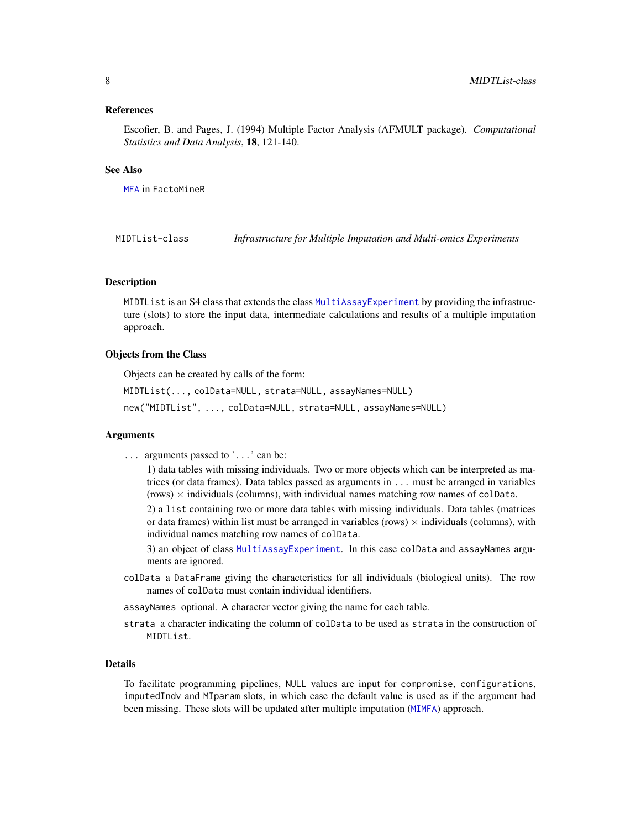#### <span id="page-7-0"></span>References

Escofier, B. and Pages, J. (1994) Multiple Factor Analysis (AFMULT package). *Computational Statistics and Data Analysis*, 18, 121-140.

#### See Also

[MFA](#page-6-1) in FactoMineR

MIDTList-class *Infrastructure for Multiple Imputation and Multi-omics Experiments*

#### <span id="page-7-1"></span>Description

MIDTList is an S4 class that extends the class [MultiAssayExperiment](#page-0-0) by providing the infrastructure (slots) to store the input data, intermediate calculations and results of a multiple imputation approach.

# Objects from the Class

Objects can be created by calls of the form:

```
MIDTList(..., colData=NULL, strata=NULL, assayNames=NULL)
new("MIDTList", ..., colData=NULL, strata=NULL, assayNames=NULL)
```
#### Arguments

... arguments passed to '...' can be:

1) data tables with missing individuals. Two or more objects which can be interpreted as matrices (or data frames). Data tables passed as arguments in ... must be arranged in variables  $(rows)$   $\times$  individuals (columns), with individual names matching row names of colData.

2) a list containing two or more data tables with missing individuals. Data tables (matrices or data frames) within list must be arranged in variables (rows)  $\times$  individuals (columns), with individual names matching row names of colData.

3) an object of class [MultiAssayExperiment](#page-0-0). In this case colData and assayNames arguments are ignored.

colData a DataFrame giving the characteristics for all individuals (biological units). The row names of colData must contain individual identifiers.

assayNames optional. A character vector giving the name for each table.

strata a character indicating the column of colData to be used as strata in the construction of MIDTL ist.

# Details

To facilitate programming pipelines, NULL values are input for compromise, configurations, imputedIndv and MIparam slots, in which case the default value is used as if the argument had been missing. These slots will be updated after multiple imputation ([MIMFA](#page-9-1)) approach.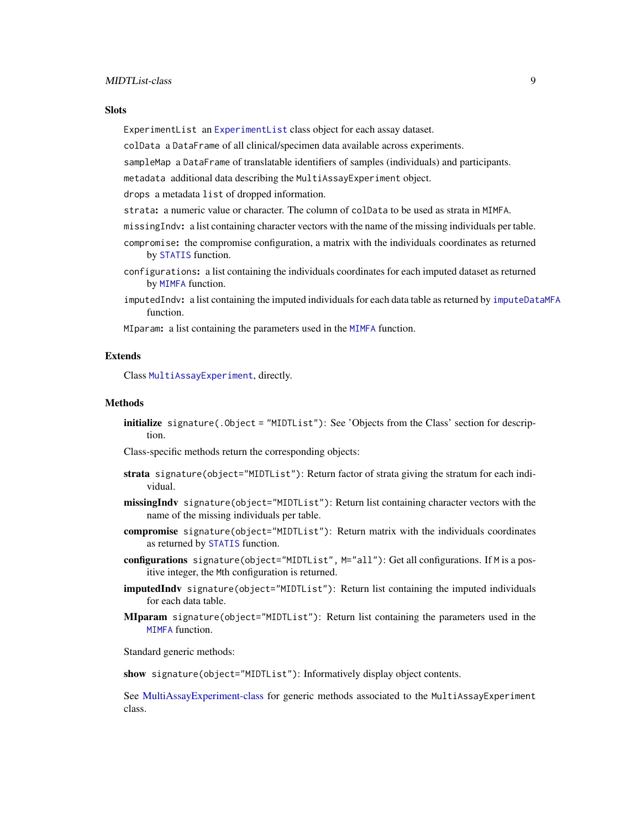#### <span id="page-8-0"></span>**Slots**

ExperimentList an [ExperimentList](#page-0-0) class object for each assay dataset.

colData a DataFrame of all clinical/specimen data available across experiments.

sampleMap a DataFrame of translatable identifiers of samples (individuals) and participants.

metadata additional data describing the MultiAssayExperiment object.

drops a metadata list of dropped information.

- strata: a numeric value or character. The column of colData to be used as strata in MIMFA.
- missingIndv: a list containing character vectors with the name of the missing individuals per table.
- compromise: the compromise configuration, a matrix with the individuals coordinates as returned by [STATIS](#page-19-1) function.
- configurations: a list containing the individuals coordinates for each imputed dataset as returned by [MIMFA](#page-9-1) function.
- imputedIndv: a list containing the imputed individuals for each data table as returned by [imputeDataMFA](#page-4-1) function.

MIparam: a list containing the parameters used in the [MIMFA](#page-9-1) function.

#### Extends

Class [MultiAssayExperiment](#page-0-0), directly.

#### Methods

initialize signature(.Object = "MIDTList"): See 'Objects from the Class' section for description.

Class-specific methods return the corresponding objects:

- strata signature(object="MIDTList"): Return factor of strata giving the stratum for each individual.
- missingIndy signature(object="MIDTList"): Return list containing character vectors with the name of the missing individuals per table.
- compromise signature(object="MIDTList"): Return matrix with the individuals coordinates as returned by [STATIS](#page-19-1) function.
- configurations signature(object="MIDTList", M="all"): Get all configurations. If M is a positive integer, the Mth configuration is returned.
- imputedIndv signature(object="MIDTList"): Return list containing the imputed individuals for each data table.
- MIparam signature(object="MIDTList"): Return list containing the parameters used in the [MIMFA](#page-9-1) function.

Standard generic methods:

show signature(object="MIDTList"): Informatively display object contents.

See [MultiAssayExperiment-class](#page-0-0) for generic methods associated to the MultiAssayExperiment class.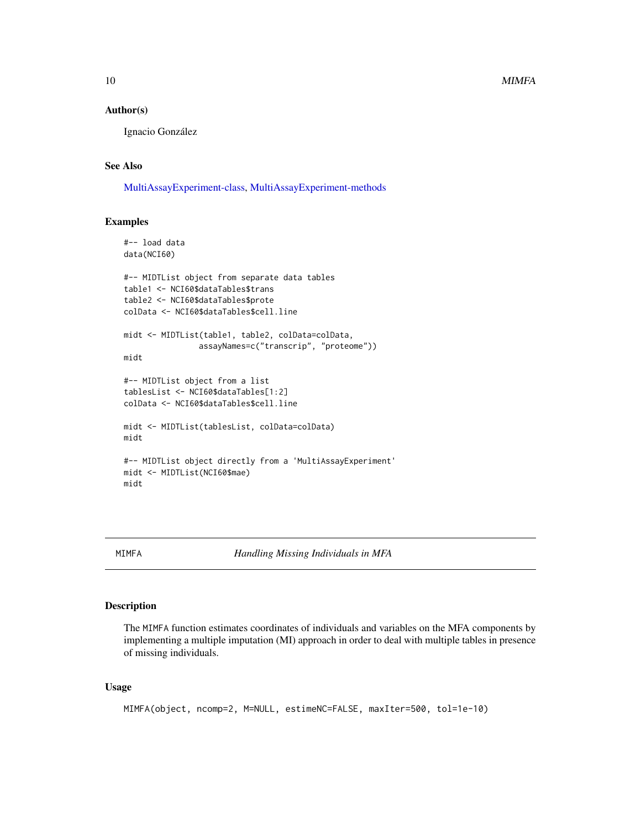#### Author(s)

Ignacio González

# See Also

[MultiAssayExperiment-class,](#page-0-0) [MultiAssayExperiment-methods](#page-0-0)

#### Examples

```
#-- load data
data(NCI60)
#-- MIDTList object from separate data tables
table1 <- NCI60$dataTables$trans
table2 <- NCI60$dataTables$prote
colData <- NCI60$dataTables$cell.line
midt <- MIDTList(table1, table2, colData=colData,
                assayNames=c("transcrip", "proteome"))
midt
#-- MIDTList object from a list
tablesList <- NCI60$dataTables[1:2]
colData <- NCI60$dataTables$cell.line
midt <- MIDTList(tablesList, colData=colData)
midt
#-- MIDTList object directly from a 'MultiAssayExperiment'
midt <- MIDTList(NCI60$mae)
midt
```
<span id="page-9-1"></span>MIMFA *Handling Missing Individuals in MFA*

# Description

The MIMFA function estimates coordinates of individuals and variables on the MFA components by implementing a multiple imputation (MI) approach in order to deal with multiple tables in presence of missing individuals.

#### Usage

```
MIMFA(object, ncomp=2, M=NULL, estimeNC=FALSE, maxIter=500, tol=1e-10)
```
<span id="page-9-0"></span>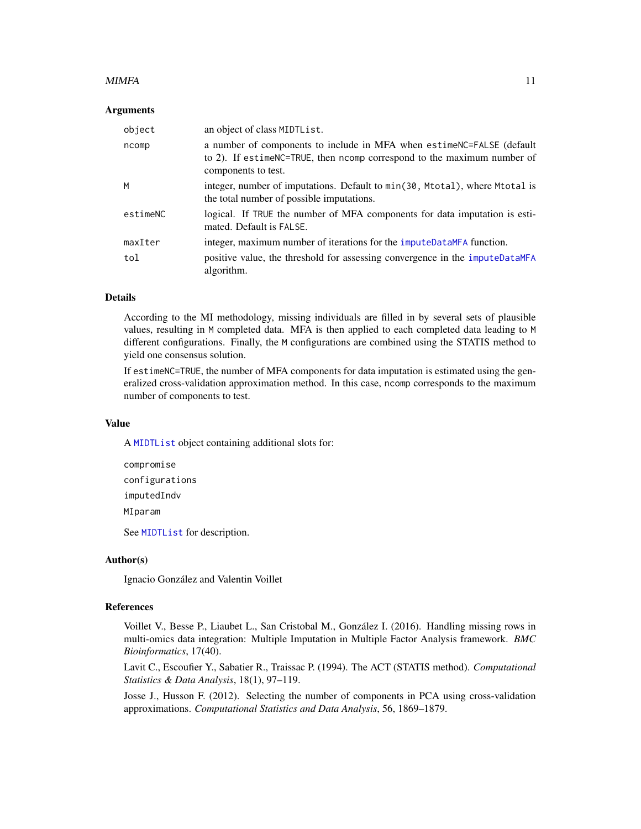#### <span id="page-10-0"></span> $MIMFA$  and the contract of the contract of the contract of the contract of the contract of the contract of the contract of the contract of the contract of the contract of the contract of the contract of the contract of the

#### Arguments

| object   | an object of class MIDTList.                                                                                                                                              |
|----------|---------------------------------------------------------------------------------------------------------------------------------------------------------------------------|
| ncomp    | a number of components to include in MFA when estimencerral SE (default<br>to 2). If estimeNC=TRUE, then ncomp correspond to the maximum number of<br>components to test. |
| M        | integer, number of imputations. Default to min(30, Mtotal), where Mtotal is<br>the total number of possible imputations.                                                  |
| estimeNC | logical. If TRUE the number of MFA components for data imputation is esti-<br>mated. Default is FALSE.                                                                    |
| maxIter  | integer, maximum number of iterations for the imputeDataMFA function.                                                                                                     |
| tol      | positive value, the threshold for assessing convergence in the imputeDataMFA<br>algorithm.                                                                                |

### Details

According to the MI methodology, missing individuals are filled in by several sets of plausible values, resulting in M completed data. MFA is then applied to each completed data leading to M different configurations. Finally, the M configurations are combined using the STATIS method to yield one consensus solution.

If estimeNC=TRUE, the number of MFA components for data imputation is estimated using the generalized cross-validation approximation method. In this case, ncomp corresponds to the maximum number of components to test.

#### Value

A [MIDTList](#page-7-1) object containing additional slots for:

```
compromise
configurations
imputedIndv
MIparam
```
See [MIDTList](#page-7-1) for description.

#### Author(s)

Ignacio González and Valentin Voillet

# References

Voillet V., Besse P., Liaubet L., San Cristobal M., González I. (2016). Handling missing rows in multi-omics data integration: Multiple Imputation in Multiple Factor Analysis framework. *BMC Bioinformatics*, 17(40).

Lavit C., Escoufier Y., Sabatier R., Traissac P. (1994). The ACT (STATIS method). *Computational Statistics & Data Analysis*, 18(1), 97–119.

Josse J., Husson F. (2012). Selecting the number of components in PCA using cross-validation approximations. *Computational Statistics and Data Analysis*, 56, 1869–1879.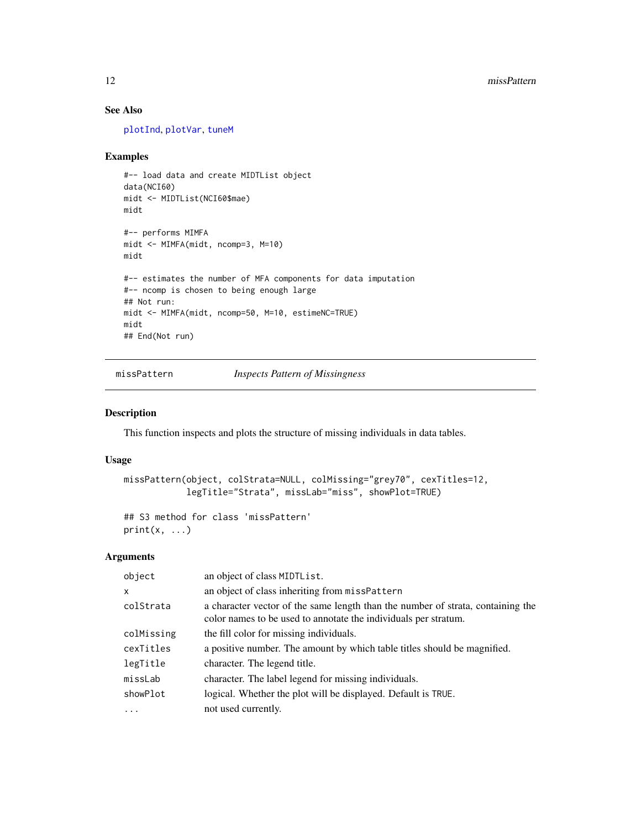# See Also

[plotInd](#page-14-1), [plotVar](#page-15-1), [tuneM](#page-19-2)

#### Examples

```
#-- load data and create MIDTList object
data(NCI60)
midt <- MIDTList(NCI60$mae)
midt
#-- performs MIMFA
midt <- MIMFA(midt, ncomp=3, M=10)
midt
#-- estimates the number of MFA components for data imputation
#-- ncomp is chosen to being enough large
## Not run:
midt <- MIMFA(midt, ncomp=50, M=10, estimeNC=TRUE)
midt
## End(Not run)
```
missPattern *Inspects Pattern of Missingness*

# Description

This function inspects and plots the structure of missing individuals in data tables.

# Usage

```
missPattern(object, colStrata=NULL, colMissing="grey70", cexTitles=12,
            legTitle="Strata", missLab="miss", showPlot=TRUE)
```

```
## S3 method for class 'missPattern'
print(x, \ldots)
```
# Arguments

| object       | an object of class MIDTList.                                                                                                                       |
|--------------|----------------------------------------------------------------------------------------------------------------------------------------------------|
| $\mathsf{x}$ | an object of class inheriting from missPattern                                                                                                     |
| colStrata    | a character vector of the same length than the number of strata, containing the<br>color names to be used to annotate the individuals per stratum. |
| colMissing   | the fill color for missing individuals.                                                                                                            |
| cexTitles    | a positive number. The amount by which table titles should be magnified.                                                                           |
| legTitle     | character. The legend title.                                                                                                                       |
| missLab      | character. The label legend for missing individuals.                                                                                               |
| showPlot     | logical. Whether the plot will be displayed. Default is TRUE.                                                                                      |
| $\ddots$     | not used currently.                                                                                                                                |

<span id="page-11-0"></span>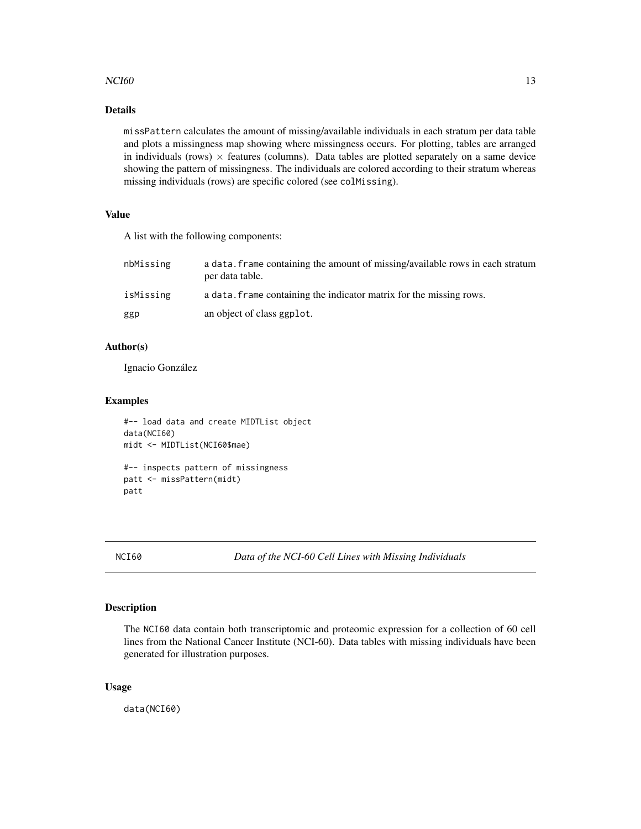# <span id="page-12-0"></span> $NCI60$  and the set of the set of the set of the set of the set of the set of the set of the set of the set of the set of the set of the set of the set of the set of the set of the set of the set of the set of the set of t

# Details

missPattern calculates the amount of missing/available individuals in each stratum per data table and plots a missingness map showing where missingness occurs. For plotting, tables are arranged in individuals (rows)  $\times$  features (columns). Data tables are plotted separately on a same device showing the pattern of missingness. The individuals are colored according to their stratum whereas missing individuals (rows) are specific colored (see colMissing).

# Value

A list with the following components:

| nbMissing | a data, frame containing the amount of missing/available rows in each stratum<br>per data table. |
|-----------|--------------------------------------------------------------------------------------------------|
| isMissing | a data. Frame containing the indicator matrix for the missing rows.                              |
| ggp       | an object of class ggplot.                                                                       |

#### Author(s)

Ignacio González

#### Examples

```
#-- load data and create MIDTList object
data(NCI60)
midt <- MIDTList(NCI60$mae)
#-- inspects pattern of missingness
patt <- missPattern(midt)
patt
```
NCI60 *Data of the NCI-60 Cell Lines with Missing Individuals*

### Description

The NCI60 data contain both transcriptomic and proteomic expression for a collection of 60 cell lines from the National Cancer Institute (NCI-60). Data tables with missing individuals have been generated for illustration purposes.

#### Usage

data(NCI60)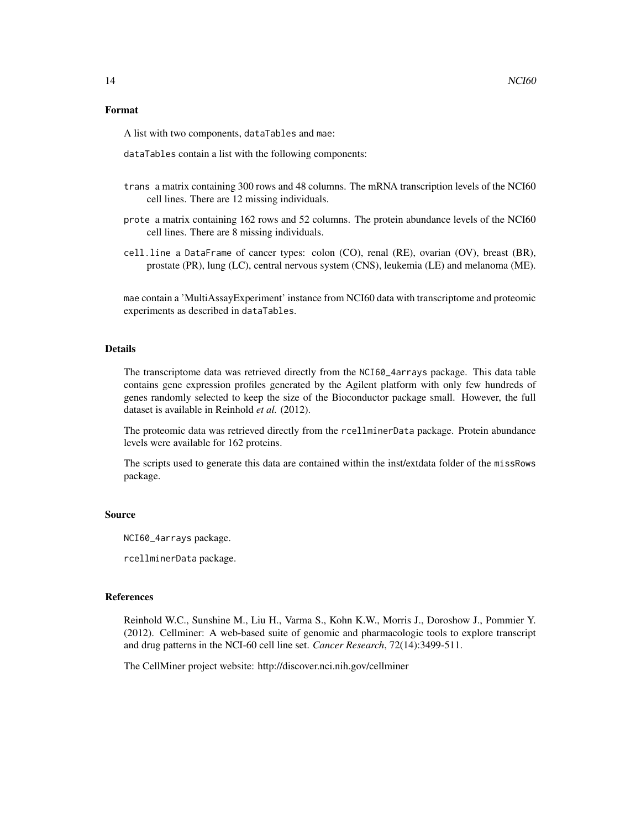#### Format

A list with two components, dataTables and mae:

dataTables contain a list with the following components:

- trans a matrix containing 300 rows and 48 columns. The mRNA transcription levels of the NCI60 cell lines. There are 12 missing individuals.
- prote a matrix containing 162 rows and 52 columns. The protein abundance levels of the NCI60 cell lines. There are 8 missing individuals.
- cell.line a DataFrame of cancer types: colon (CO), renal (RE), ovarian (OV), breast (BR), prostate (PR), lung (LC), central nervous system (CNS), leukemia (LE) and melanoma (ME).

mae contain a 'MultiAssayExperiment' instance from NCI60 data with transcriptome and proteomic experiments as described in dataTables.

#### Details

The transcriptome data was retrieved directly from the NCI60\_4arrays package. This data table contains gene expression profiles generated by the Agilent platform with only few hundreds of genes randomly selected to keep the size of the Bioconductor package small. However, the full dataset is available in Reinhold *et al.* (2012).

The proteomic data was retrieved directly from the rcellminerData package. Protein abundance levels were available for 162 proteins.

The scripts used to generate this data are contained within the inst/extdata folder of the missRows package.

# Source

NCI60\_4arrays package.

rcellminerData package.

#### References

Reinhold W.C., Sunshine M., Liu H., Varma S., Kohn K.W., Morris J., Doroshow J., Pommier Y. (2012). Cellminer: A web-based suite of genomic and pharmacologic tools to explore transcript and drug patterns in the NCI-60 cell line set. *Cancer Research*, 72(14):3499-511.

The CellMiner project website: http://discover.nci.nih.gov/cellminer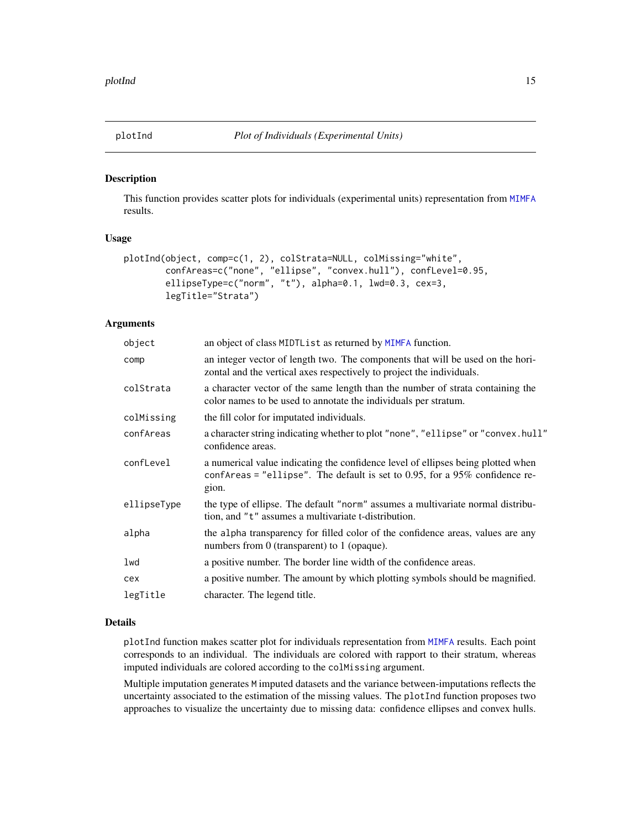<span id="page-14-1"></span><span id="page-14-0"></span>

#### Description

This function provides scatter plots for individuals (experimental units) representation from [MIMFA](#page-9-1) results.

#### Usage

```
plotInd(object, comp=c(1, 2), colStrata=NULL, colMissing="white",
       confAreas=c("none", "ellipse", "convex.hull"), confLevel=0.95,
       ellipseType=c("norm", "t"), alpha=0.1, lwd=0.3, cex=3,
       legTitle="Strata")
```
### Arguments

| object      | an object of class MIDTList as returned by MIMFA function.                                                                                                                  |  |
|-------------|-----------------------------------------------------------------------------------------------------------------------------------------------------------------------------|--|
| comp        | an integer vector of length two. The components that will be used on the hori-<br>zontal and the vertical axes respectively to project the individuals.                     |  |
| colStrata   | a character vector of the same length than the number of strata containing the<br>color names to be used to annotate the individuals per stratum.                           |  |
| colMissing  | the fill color for imputated individuals.                                                                                                                                   |  |
| confAreas   | a character string indicating whether to plot "none", "ellipse" or "convex.hull"<br>confidence areas.                                                                       |  |
| confLevel   | a numerical value indicating the confidence level of ellipses being plotted when<br>confareas = "ellipse". The default is set to 0.95, for a $95\%$ confidence re-<br>gion. |  |
| ellipseType | the type of ellipse. The default "norm" assumes a multivariate normal distribu-<br>tion, and "t" assumes a multivariate t-distribution.                                     |  |
| alpha       | the alpha transparency for filled color of the confidence areas, values are any<br>numbers from 0 (transparent) to 1 (opaque).                                              |  |
| lwd         | a positive number. The border line width of the confidence areas.                                                                                                           |  |
| cex         | a positive number. The amount by which plotting symbols should be magnified.                                                                                                |  |
| legTitle    | character. The legend title.                                                                                                                                                |  |

### Details

plotInd function makes scatter plot for individuals representation from [MIMFA](#page-9-1) results. Each point corresponds to an individual. The individuals are colored with rapport to their stratum, whereas imputed individuals are colored according to the colMissing argument.

Multiple imputation generates M imputed datasets and the variance between-imputations reflects the uncertainty associated to the estimation of the missing values. The plotInd function proposes two approaches to visualize the uncertainty due to missing data: confidence ellipses and convex hulls.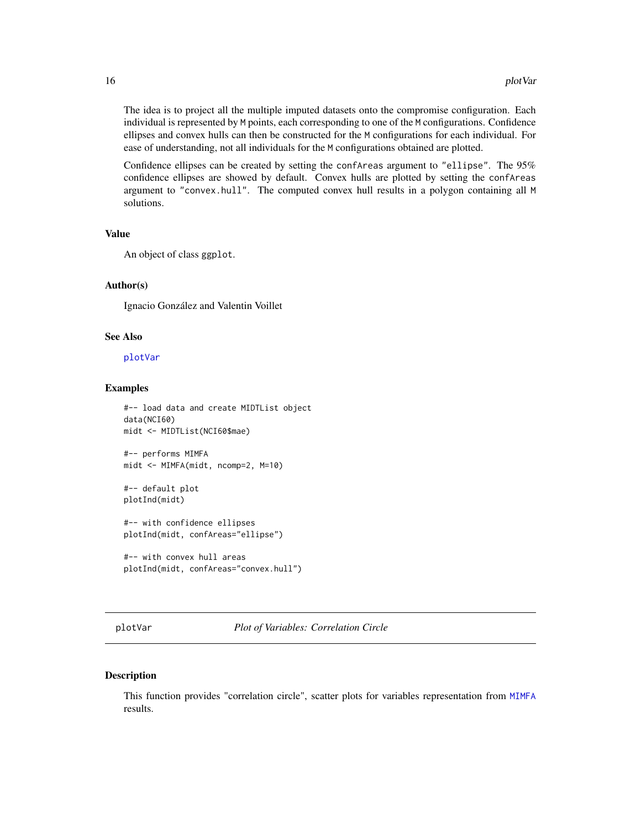<span id="page-15-0"></span>The idea is to project all the multiple imputed datasets onto the compromise configuration. Each individual is represented by M points, each corresponding to one of the M configurations. Confidence ellipses and convex hulls can then be constructed for the M configurations for each individual. For ease of understanding, not all individuals for the M configurations obtained are plotted.

Confidence ellipses can be created by setting the confAreas argument to "ellipse". The 95% confidence ellipses are showed by default. Convex hulls are plotted by setting the confAreas argument to "convex.hull". The computed convex hull results in a polygon containing all M solutions.

#### Value

An object of class ggplot.

#### Author(s)

Ignacio González and Valentin Voillet

#### See Also

[plotVar](#page-15-1)

#### Examples

```
#-- load data and create MIDTList object
data(NCI60)
midt <- MIDTList(NCI60$mae)
#-- performs MIMFA
midt <- MIMFA(midt, ncomp=2, M=10)
#-- default plot
plotInd(midt)
#-- with confidence ellipses
plotInd(midt, confAreas="ellipse")
#-- with convex hull areas
plotInd(midt, confAreas="convex.hull")
```
<span id="page-15-1"></span>plotVar *Plot of Variables: Correlation Circle*

#### Description

This function provides "correlation circle", scatter plots for variables representation from [MIMFA](#page-9-1) results.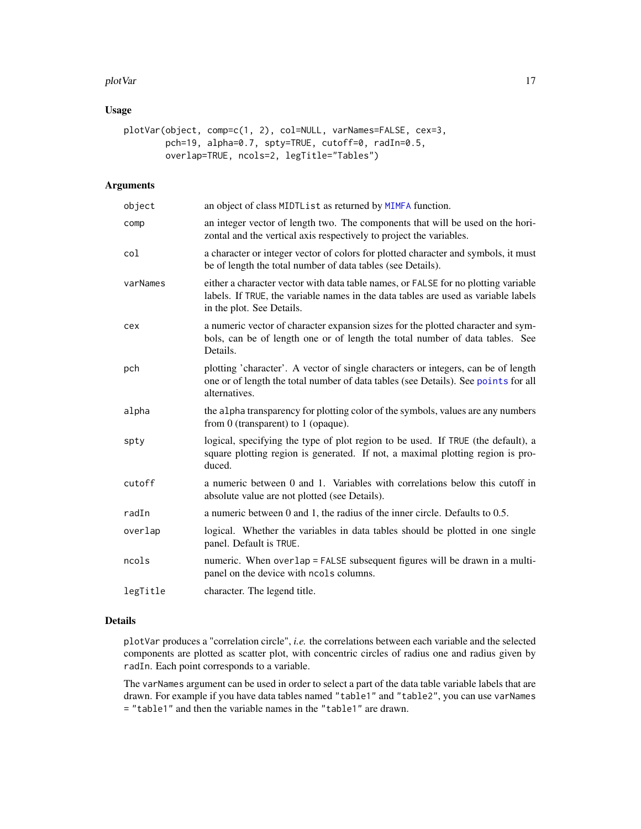#### <span id="page-16-0"></span>plotVar the contract of the contract of the contract of the contract of the contract of the contract of the contract of the contract of the contract of the contract of the contract of the contract of the contract of the co

# Usage

```
plotVar(object, comp=c(1, 2), col=NULL, varNames=FALSE, cex=3,
        pch=19, alpha=0.7, spty=TRUE, cutoff=0, radIn=0.5,
        overlap=TRUE, ncols=2, legTitle="Tables")
```
# Arguments

| object   | an object of class MIDTList as returned by MIMFA function.                                                                                                                                            |
|----------|-------------------------------------------------------------------------------------------------------------------------------------------------------------------------------------------------------|
| comp     | an integer vector of length two. The components that will be used on the hori-<br>zontal and the vertical axis respectively to project the variables.                                                 |
| col      | a character or integer vector of colors for plotted character and symbols, it must<br>be of length the total number of data tables (see Details).                                                     |
| varNames | either a character vector with data table names, or FALSE for no plotting variable<br>labels. If TRUE, the variable names in the data tables are used as variable labels<br>in the plot. See Details. |
| cex      | a numeric vector of character expansion sizes for the plotted character and sym-<br>bols, can be of length one or of length the total number of data tables. See<br>Details.                          |
| pch      | plotting 'character'. A vector of single characters or integers, can be of length<br>one or of length the total number of data tables (see Details). See points for all<br>alternatives.              |
| alpha    | the alpha transparency for plotting color of the symbols, values are any numbers<br>from $0$ (transparent) to $1$ (opaque).                                                                           |
| spty     | logical, specifying the type of plot region to be used. If TRUE (the default), a<br>square plotting region is generated. If not, a maximal plotting region is pro-<br>duced.                          |
| cutoff   | a numeric between 0 and 1. Variables with correlations below this cutoff in<br>absolute value are not plotted (see Details).                                                                          |
| radIn    | a numeric between 0 and 1, the radius of the inner circle. Defaults to 0.5.                                                                                                                           |
| overlap  | logical. Whether the variables in data tables should be plotted in one single<br>panel. Default is TRUE.                                                                                              |
| ncols    | numeric. When overlap = FALSE subsequent figures will be drawn in a multi-<br>panel on the device with nools columns.                                                                                 |
| legTitle | character. The legend title.                                                                                                                                                                          |

#### Details

plotVar produces a "correlation circle", *i.e.* the correlations between each variable and the selected components are plotted as scatter plot, with concentric circles of radius one and radius given by radIn. Each point corresponds to a variable.

The varNames argument can be used in order to select a part of the data table variable labels that are drawn. For example if you have data tables named "table1" and "table2", you can use varNames = "table1" and then the variable names in the "table1" are drawn.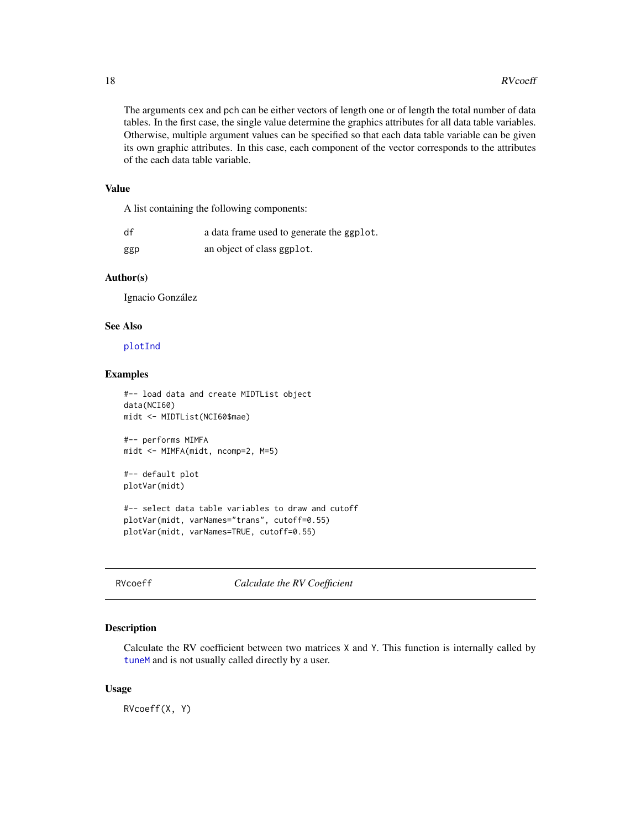<span id="page-17-0"></span>The arguments cex and pch can be either vectors of length one or of length the total number of data tables. In the first case, the single value determine the graphics attributes for all data table variables. Otherwise, multiple argument values can be specified so that each data table variable can be given its own graphic attributes. In this case, each component of the vector corresponds to the attributes of the each data table variable.

### Value

A list containing the following components:

| df  | a data frame used to generate the ggplot. |
|-----|-------------------------------------------|
| ggp | an object of class ggplot.                |

# Author(s)

Ignacio González

#### See Also

[plotInd](#page-14-1)

### Examples

```
#-- load data and create MIDTList object
data(NCI60)
midt <- MIDTList(NCI60$mae)
#-- performs MIMFA
midt <- MIMFA(midt, ncomp=2, M=5)
#-- default plot
plotVar(midt)
#-- select data table variables to draw and cutoff
plotVar(midt, varNames="trans", cutoff=0.55)
plotVar(midt, varNames=TRUE, cutoff=0.55)
```

```
RVcoeff Calculate the RV Coefficient
```
# Description

Calculate the RV coefficient between two matrices X and Y. This function is internally called by [tuneM](#page-19-2) and is not usually called directly by a user.

#### Usage

RVcoeff(X, Y)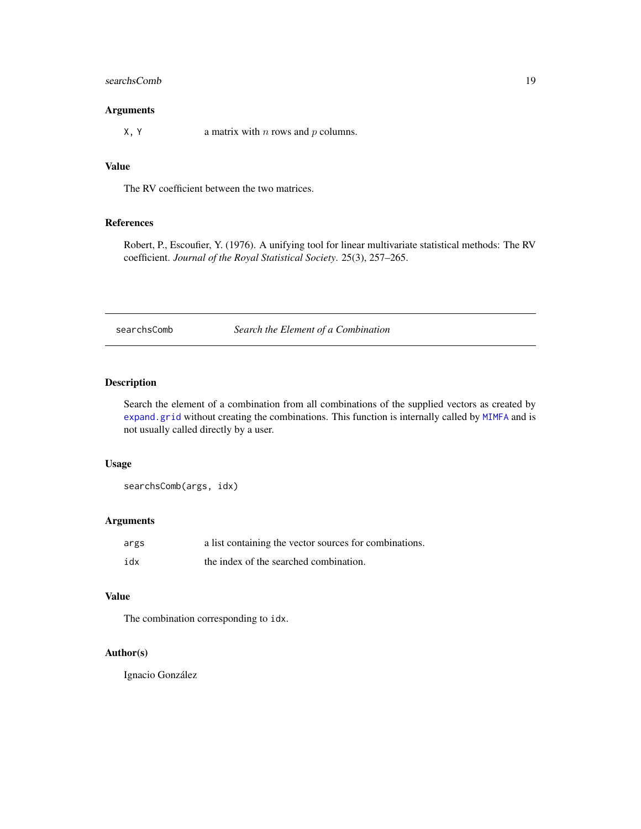#### <span id="page-18-0"></span>searchsComb 19

# Arguments

 $X, Y$  a matrix with *n* rows and *p* columns.

# Value

The RV coefficient between the two matrices.

#### References

Robert, P., Escoufier, Y. (1976). A unifying tool for linear multivariate statistical methods: The RV coefficient. *Journal of the Royal Statistical Society*. 25(3), 257–265.

searchsComb *Search the Element of a Combination*

# Description

Search the element of a combination from all combinations of the supplied vectors as created by [expand.grid](#page-0-0) without creating the combinations. This function is internally called by [MIMFA](#page-9-1) and is not usually called directly by a user.

#### Usage

searchsComb(args, idx)

#### Arguments

| args | a list containing the vector sources for combinations. |
|------|--------------------------------------------------------|
| idx  | the index of the searched combination.                 |

#### Value

The combination corresponding to idx.

# Author(s)

Ignacio González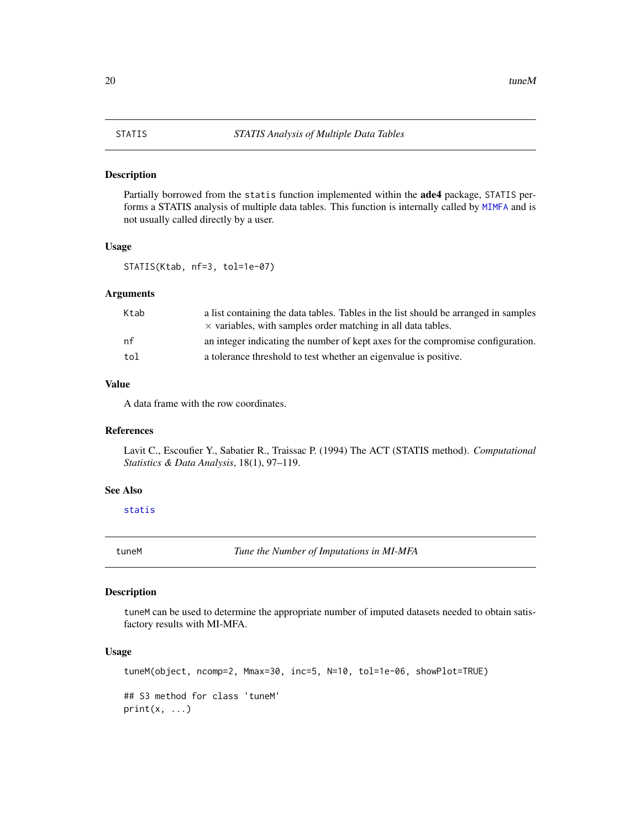#### <span id="page-19-1"></span><span id="page-19-0"></span>Description

Partially borrowed from the statis function implemented within the ade4 package, STATIS performs a STATIS analysis of multiple data tables. This function is internally called by [MIMFA](#page-9-1) and is not usually called directly by a user.

# Usage

STATIS(Ktab, nf=3, tol=1e-07)

# Arguments

| Ktab | a list containing the data tables. Tables in the list should be arranged in samples<br>$\times$ variables, with samples order matching in all data tables. |
|------|------------------------------------------------------------------------------------------------------------------------------------------------------------|
| nf   | an integer indicating the number of kept axes for the compromise configuration.                                                                            |
| tol  | a tolerance threshold to test whether an eigenvalue is positive.                                                                                           |

#### Value

A data frame with the row coordinates.

# References

Lavit C., Escoufier Y., Sabatier R., Traissac P. (1994) The ACT (STATIS method). *Computational Statistics & Data Analysis*, 18(1), 97–119.

# See Also

[statis](#page-0-0)

<span id="page-19-2"></span>tuneM *Tune the Number of Imputations in MI-MFA*

# Description

tuneM can be used to determine the appropriate number of imputed datasets needed to obtain satisfactory results with MI-MFA.

#### Usage

```
tuneM(object, ncomp=2, Mmax=30, inc=5, N=10, tol=1e-06, showPlot=TRUE)
## S3 method for class 'tuneM'
print(x, \ldots)
```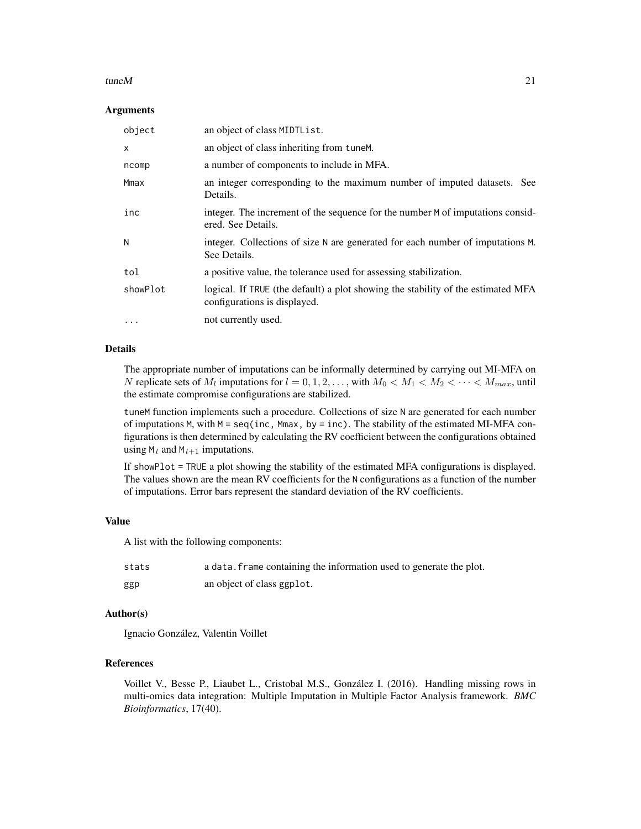#### tune $M$  21

#### Arguments

| object       | an object of class MIDTList.                                                                                     |
|--------------|------------------------------------------------------------------------------------------------------------------|
| $\mathsf{x}$ | an object of class inheriting from tune.                                                                         |
| ncomp        | a number of components to include in MFA.                                                                        |
| Mmax         | an integer corresponding to the maximum number of imputed datasets. See<br>Details.                              |
| inc          | integer. The increment of the sequence for the number M of imputations consid-<br>ered. See Details.             |
| N            | integer. Collections of size N are generated for each number of imputations M.<br>See Details.                   |
| tol          | a positive value, the tolerance used for assessing stabilization.                                                |
| showPlot     | logical. If TRUE (the default) a plot showing the stability of the estimated MFA<br>configurations is displayed. |
| $\cdots$     | not currently used.                                                                                              |

### Details

The appropriate number of imputations can be informally determined by carrying out MI-MFA on N replicate sets of  $M_l$  imputations for  $l = 0, 1, 2, \ldots$ , with  $M_0 < M_1 < M_2 < \cdots < M_{max}$ , until the estimate compromise configurations are stabilized.

tuneM function implements such a procedure. Collections of size N are generated for each number of imputations M, with  $M = \text{seq}(inc, Mmax, by = inc)$ . The stability of the estimated MI-MFA configurations is then determined by calculating the RV coefficient between the configurations obtained using  $M_l$  and  $M_{l+1}$  imputations.

If showPlot = TRUE a plot showing the stability of the estimated MFA configurations is displayed. The values shown are the mean RV coefficients for the N configurations as a function of the number of imputations. Error bars represent the standard deviation of the RV coefficients.

#### Value

A list with the following components:

| stats | a data. Frame containing the information used to generate the plot. |
|-------|---------------------------------------------------------------------|
| ggp   | an object of class ggplot.                                          |

#### Author(s)

Ignacio González, Valentin Voillet

#### References

Voillet V., Besse P., Liaubet L., Cristobal M.S., González I. (2016). Handling missing rows in multi-omics data integration: Multiple Imputation in Multiple Factor Analysis framework. *BMC Bioinformatics*, 17(40).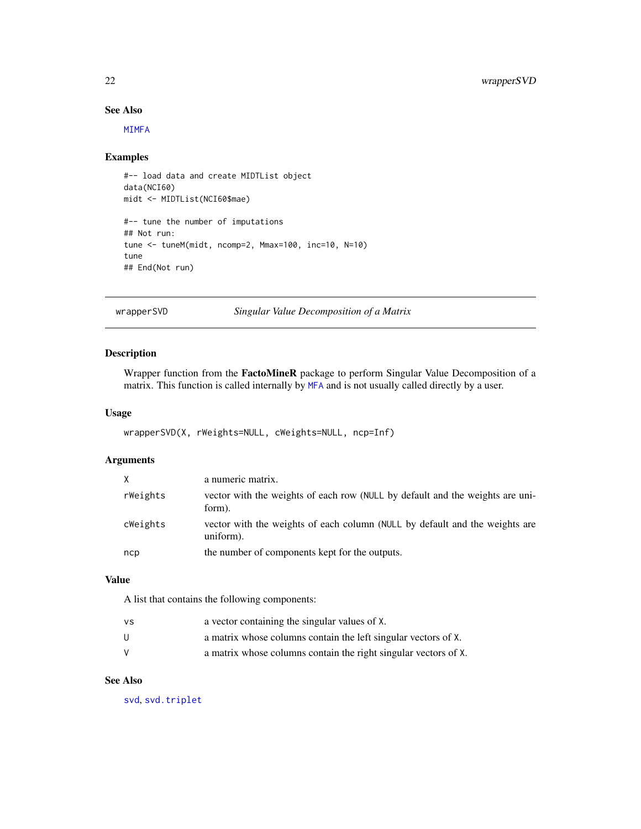#### See Also

[MIMFA](#page-9-1)

#### Examples

```
#-- load data and create MIDTList object
data(NCI60)
midt <- MIDTList(NCI60$mae)
#-- tune the number of imputations
## Not run:
tune <- tuneM(midt, ncomp=2, Mmax=100, inc=10, N=10)
tune
## End(Not run)
```
wrapperSVD *Singular Value Decomposition of a Matrix*

# Description

Wrapper function from the FactoMineR package to perform Singular Value Decomposition of a matrix. This function is called internally by [MFA](#page-6-1) and is not usually called directly by a user.

#### Usage

```
wrapperSVD(X, rWeights=NULL, cWeights=NULL, ncp=Inf)
```
# Arguments

| X        | a numeric matrix.                                                                        |
|----------|------------------------------------------------------------------------------------------|
| rWeights | vector with the weights of each row (NULL by default and the weights are uni-<br>form).  |
| cWeights | vector with the weights of each column (NULL by default and the weights are<br>uniform). |
| ncp      | the number of components kept for the outputs.                                           |

#### Value

A list that contains the following components:

| ٧S | a vector containing the singular values of X.                   |
|----|-----------------------------------------------------------------|
| U  | a matrix whose columns contain the left singular vectors of X.  |
|    | a matrix whose columns contain the right singular vectors of X. |

# See Also

[svd](#page-0-0), [svd.triplet](#page-0-0)

<span id="page-21-0"></span>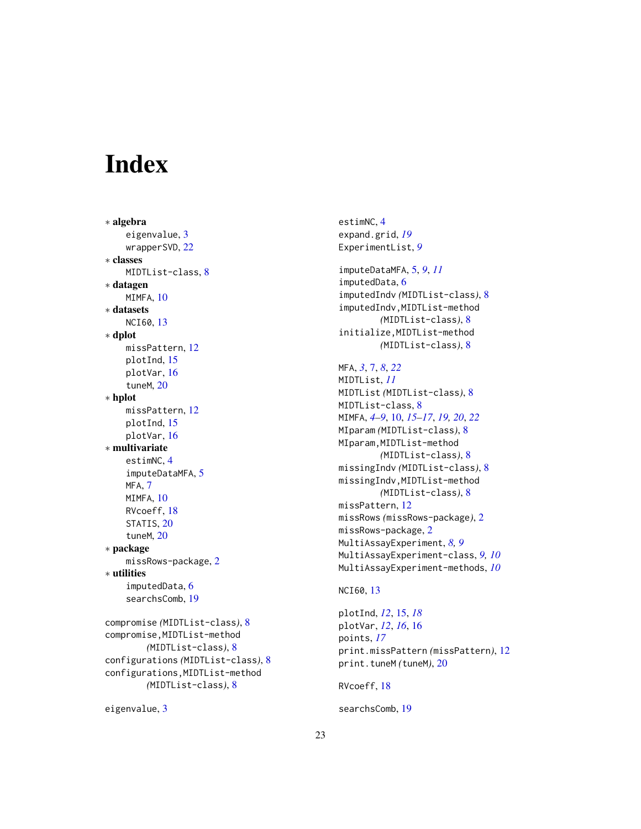# <span id="page-22-0"></span>**Index**

∗ algebra eigenvalue, [3](#page-2-0) wrapperSVD, [22](#page-21-0) ∗ classes MIDTList-class, [8](#page-7-0) ∗ datagen MIMFA, [10](#page-9-0) ∗ datasets NCI60, [13](#page-12-0) ∗ dplot missPattern, [12](#page-11-0) plotInd, [15](#page-14-0) plotVar, [16](#page-15-0) tuneM, [20](#page-19-0) ∗ hplot missPattern, [12](#page-11-0) plotInd, [15](#page-14-0) plotVar, [16](#page-15-0) ∗ multivariate estimNC, [4](#page-3-0) imputeDataMFA, [5](#page-4-0) MFA, [7](#page-6-0) MIMFA, [10](#page-9-0) RVcoeff, [18](#page-17-0) STATIS, [20](#page-19-0) tuneM, [20](#page-19-0) ∗ package missRows-package, [2](#page-1-0) ∗ utilities imputedData, [6](#page-5-0) searchsComb, [19](#page-18-0) compromise *(*MIDTList-class*)*, [8](#page-7-0) compromise,MIDTList-method *(*MIDTList-class*)*, [8](#page-7-0) configurations *(*MIDTList-class*)*, [8](#page-7-0) configurations,MIDTList-method *(*MIDTList-class*)*, [8](#page-7-0)

```
eigenvalue, 3
```
estimNC, [4](#page-3-0) expand.grid, *[19](#page-18-0)* ExperimentList, *[9](#page-8-0)* imputeDataMFA, [5,](#page-4-0) *[9](#page-8-0)*, *[11](#page-10-0)* imputedData, [6](#page-5-0) imputedIndv *(*MIDTList-class*)*, [8](#page-7-0) imputedIndv,MIDTList-method *(*MIDTList-class*)*, [8](#page-7-0) initialize,MIDTList-method *(*MIDTList-class*)*, [8](#page-7-0) MFA, *[3](#page-2-0)*, [7,](#page-6-0) *[8](#page-7-0)*, *[22](#page-21-0)* MIDTList, *[11](#page-10-0)* MIDTList *(*MIDTList-class*)*, [8](#page-7-0) MIDTList-class, [8](#page-7-0) MIMFA, *[4–](#page-3-0)[9](#page-8-0)*, [10,](#page-9-0) *[15](#page-14-0)[–17](#page-16-0)*, *[19,](#page-18-0) [20](#page-19-0)*, *[22](#page-21-0)* MIparam *(*MIDTList-class*)*, [8](#page-7-0) MIparam,MIDTList-method *(*MIDTList-class*)*, [8](#page-7-0) missingIndv *(*MIDTList-class*)*, [8](#page-7-0) missingIndv,MIDTList-method *(*MIDTList-class*)*, [8](#page-7-0) missPattern, [12](#page-11-0) missRows *(*missRows-package*)*, [2](#page-1-0) missRows-package, [2](#page-1-0) MultiAssayExperiment, *[8,](#page-7-0) [9](#page-8-0)* MultiAssayExperiment-class, *[9,](#page-8-0) [10](#page-9-0)* MultiAssayExperiment-methods, *[10](#page-9-0)*

#### NCI60, [13](#page-12-0)

plotInd, *[12](#page-11-0)*, [15,](#page-14-0) *[18](#page-17-0)* plotVar, *[12](#page-11-0)*, *[16](#page-15-0)*, [16](#page-15-0) points, *[17](#page-16-0)* print.missPattern *(*missPattern*)*, [12](#page-11-0) print.tuneM *(*tuneM*)*, [20](#page-19-0)

RVcoeff, [18](#page-17-0)

searchsComb, [19](#page-18-0)